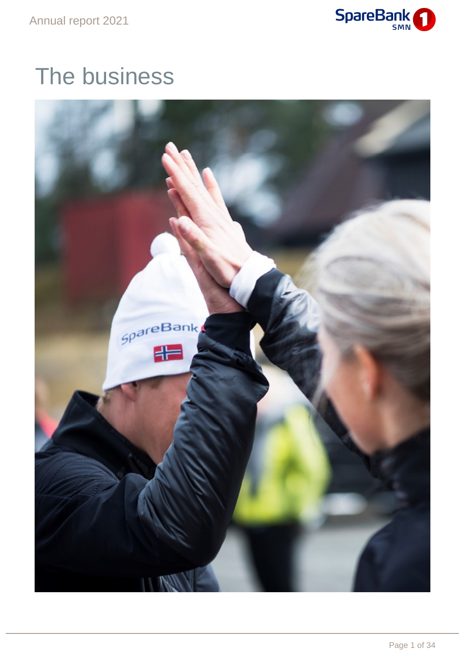

# The business

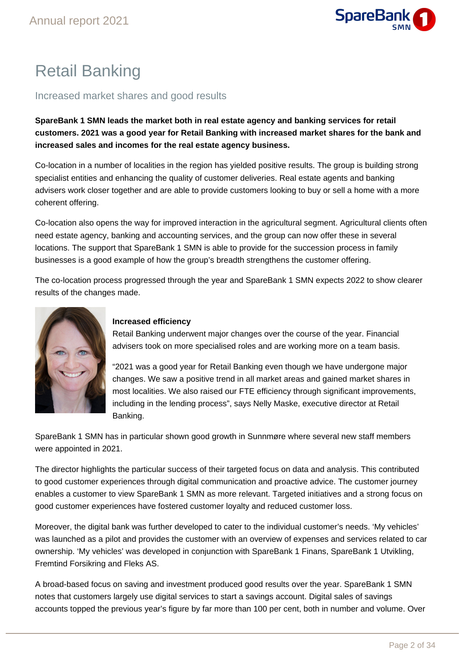

# Retail Banking

### Increased market shares and good results

**SpareBank 1 SMN leads the market both in real estate agency and banking services for retail customers. 2021 was a good year for Retail Banking with increased market shares for the bank and increased sales and incomes for the real estate agency business.**

Co-location in a number of localities in the region has yielded positive results. The group is building strong specialist entities and enhancing the quality of customer deliveries. Real estate agents and banking advisers work closer together and are able to provide customers looking to buy or sell a home with a more coherent offering.

Co-location also opens the way for improved interaction in the agricultural segment. Agricultural clients often need estate agency, banking and accounting services, and the group can now offer these in several locations. The support that SpareBank 1 SMN is able to provide for the succession process in family businesses is a good example of how the group's breadth strengthens the customer offering.

The co-location process progressed through the year and SpareBank 1 SMN expects 2022 to show clearer results of the changes made.



### **Increased efficiency**

Retail Banking underwent major changes over the course of the year. Financial advisers took on more specialised roles and are working more on a team basis.

"2021 was a good year for Retail Banking even though we have undergone major changes. We saw a positive trend in all market areas and gained market shares in most localities. We also raised our FTE efficiency through significant improvements, including in the lending process", says Nelly Maske, executive director at Retail Banking.

SpareBank 1 SMN has in particular shown good growth in Sunnmøre where several new staff members were appointed in 2021.

The director highlights the particular success of their targeted focus on data and analysis. This contributed to good customer experiences through digital communication and proactive advice. The customer journey enables a customer to view SpareBank 1 SMN as more relevant. Targeted initiatives and a strong focus on good customer experiences have fostered customer loyalty and reduced customer loss.

Moreover, the digital bank was further developed to cater to the individual customer's needs. 'My vehicles' was launched as a pilot and provides the customer with an overview of expenses and services related to car ownership. 'My vehicles' was developed in conjunction with SpareBank 1 Finans, SpareBank 1 Utvikling, Fremtind Forsikring and Fleks AS.

A broad-based focus on saving and investment produced good results over the year. SpareBank 1 SMN notes that customers largely use digital services to start a savings account. Digital sales of savings accounts topped the previous year's figure by far more than 100 per cent, both in number and volume. Over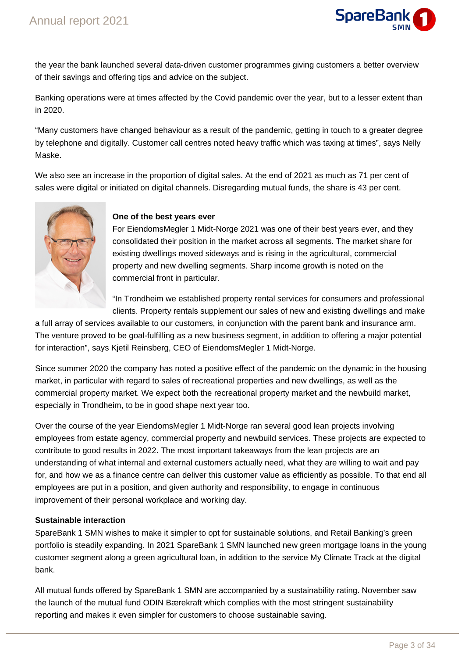

the year the bank launched several data-driven customer programmes giving customers a better overview of their savings and offering tips and advice on the subject.

Banking operations were at times affected by the Covid pandemic over the year, but to a lesser extent than in 2020.

"Many customers have changed behaviour as a result of the pandemic, getting in touch to a greater degree by telephone and digitally. Customer call centres noted heavy traffic which was taxing at times", says Nelly Maske.

We also see an increase in the proportion of digital sales. At the end of 2021 as much as 71 per cent of sales were digital or initiated on digital channels. Disregarding mutual funds, the share is 43 per cent.



### **One of the best years ever**

For EiendomsMegler 1 Midt-Norge 2021 was one of their best years ever, and they consolidated their position in the market across all segments. The market share for existing dwellings moved sideways and is rising in the agricultural, commercial property and new dwelling segments. Sharp income growth is noted on the commercial front in particular.

"In Trondheim we established property rental services for consumers and professional clients. Property rentals supplement our sales of new and existing dwellings and make

a full array of services available to our customers, in conjunction with the parent bank and insurance arm. The venture proved to be goal-fulfilling as a new business segment, in addition to offering a major potential for interaction", says Kjetil Reinsberg, CEO of EiendomsMegler 1 Midt-Norge.

Since summer 2020 the company has noted a positive effect of the pandemic on the dynamic in the housing market, in particular with regard to sales of recreational properties and new dwellings, as well as the commercial property market. We expect both the recreational property market and the newbuild market, especially in Trondheim, to be in good shape next year too.

Over the course of the year EiendomsMegler 1 Midt-Norge ran several good lean projects involving employees from estate agency, commercial property and newbuild services. These projects are expected to contribute to good results in 2022. The most important takeaways from the lean projects are an understanding of what internal and external customers actually need, what they are willing to wait and pay for, and how we as a finance centre can deliver this customer value as efficiently as possible. To that end all employees are put in a position, and given authority and responsibility, to engage in continuous improvement of their personal workplace and working day.

### **Sustainable interaction**

SpareBank 1 SMN wishes to make it simpler to opt for sustainable solutions, and Retail Banking's green portfolio is steadily expanding. In 2021 SpareBank 1 SMN launched new green mortgage loans in the young customer segment along a green agricultural loan, in addition to the service My Climate Track at the digital bank.

All mutual funds offered by SpareBank 1 SMN are accompanied by a sustainability rating. November saw the launch of the mutual fund ODIN Bærekraft which complies with the most stringent sustainability reporting and makes it even simpler for customers to choose sustainable saving.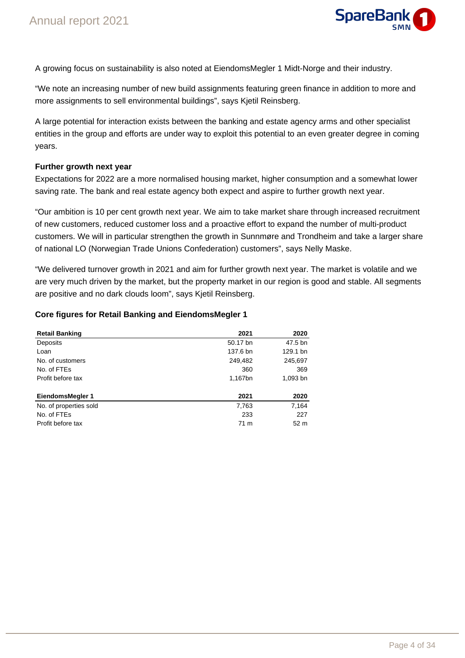

A growing focus on sustainability is also noted at EiendomsMegler 1 Midt-Norge and their industry.

"We note an increasing number of new build assignments featuring green finance in addition to more and more assignments to sell environmental buildings", says Kjetil Reinsberg.

A large potential for interaction exists between the banking and estate agency arms and other specialist entities in the group and efforts are under way to exploit this potential to an even greater degree in coming years.

### **Further growth next year**

Expectations for 2022 are a more normalised housing market, higher consumption and a somewhat lower saving rate. The bank and real estate agency both expect and aspire to further growth next year.

"Our ambition is 10 per cent growth next year. We aim to take market share through increased recruitment of new customers, reduced customer loss and a proactive effort to expand the number of multi-product customers. We will in particular strengthen the growth in Sunnmøre and Trondheim and take a larger share of national LO (Norwegian Trade Unions Confederation) customers", says Nelly Maske.

"We delivered turnover growth in 2021 and aim for further growth next year. The market is volatile and we are very much driven by the market, but the property market in our region is good and stable. All segments are positive and no dark clouds loom", says Kjetil Reinsberg.

### **Core figures for Retail Banking and EiendomsMegler 1**

| <b>Retail Banking</b>  | 2021     | 2020            |
|------------------------|----------|-----------------|
| Deposits               | 50.17 bn | 47.5 bn         |
| Loan                   | 137.6 bn | 129.1 bn        |
| No. of customers       | 249,482  | 245,697         |
| No. of FTEs            | 360      | 369             |
| Profit before tax      | 1,167bn  | 1,093 bn        |
| EiendomsMegler 1       | 2021     | 2020            |
| No. of properties sold | 7,763    | 7,164           |
| No. of FTEs            | 233      | 227             |
| Profit before tax      | 71 m     | 52 <sub>m</sub> |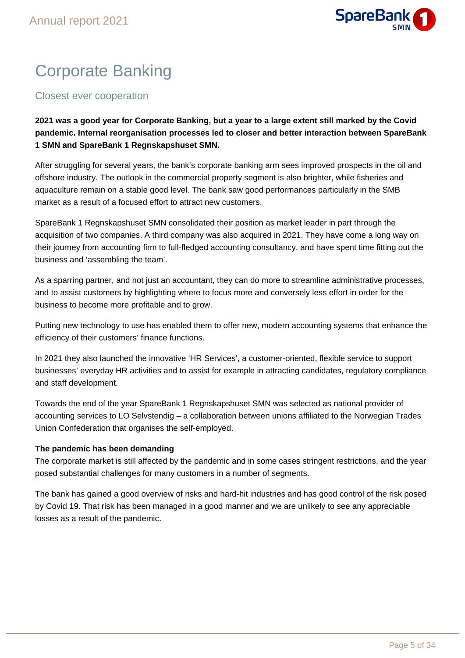

# Corporate Banking

Closest ever cooperation

**2021 was a good year for Corporate Banking, but a year to a large extent still marked by the Covid pandemic. Internal reorganisation processes led to closer and better interaction between SpareBank 1 SMN and SpareBank 1 Regnskapshuset SMN.**

After struggling for several years, the bank's corporate banking arm sees improved prospects in the oil and offshore industry. The outlook in the commercial property segment is also brighter, while fisheries and aquaculture remain on a stable good level. The bank saw good performances particularly in the SMB market as a result of a focused effort to attract new customers.

SpareBank 1 Regnskapshuset SMN consolidated their position as market leader in part through the acquisition of two companies. A third company was also acquired in 2021. They have come a long way on their journey from accounting firm to full-fledged accounting consultancy, and have spent time fitting out the business and 'assembling the team'.

As a sparring partner, and not just an accountant, they can do more to streamline administrative processes, and to assist customers by highlighting where to focus more and conversely less effort in order for the business to become more profitable and to grow.

Putting new technology to use has enabled them to offer new, modern accounting systems that enhance the efficiency of their customers' finance functions.

In 2021 they also launched the innovative 'HR Services', a customer-oriented, flexible service to support businesses' everyday HR activities and to assist for example in attracting candidates, regulatory compliance and staff development.

Towards the end of the year SpareBank 1 Regnskapshuset SMN was selected as national provider of accounting services to LO Selvstendig – a collaboration between unions affiliated to the Norwegian Trades Union Confederation that organises the self-employed.

### **The pandemic has been demanding**

The corporate market is still affected by the pandemic and in some cases stringent restrictions, and the year posed substantial challenges for many customers in a number of segments.

The bank has gained a good overview of risks and hard-hit industries and has good control of the risk posed by Covid 19. That risk has been managed in a good manner and we are unlikely to see any appreciable losses as a result of the pandemic.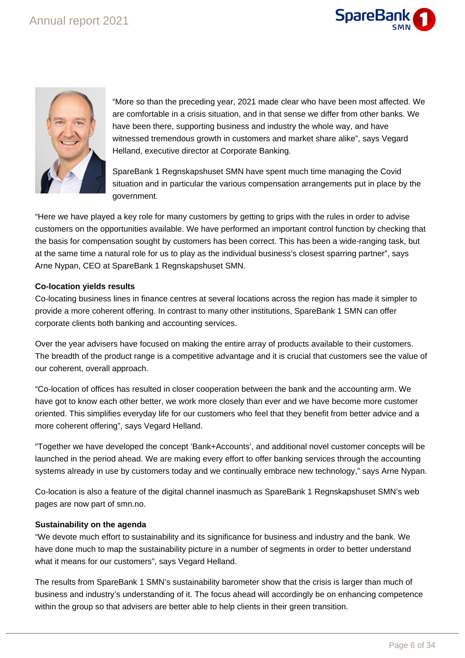



"More so than the preceding year, 2021 made clear who have been most affected. We are comfortable in a crisis situation, and in that sense we differ from other banks. We have been there, supporting business and industry the whole way, and have witnessed tremendous growth in customers and market share alike", says Vegard Helland, executive director at Corporate Banking.

SpareBank 1 Regnskapshuset SMN have spent much time managing the Covid situation and in particular the various compensation arrangements put in place by the government.

"Here we have played a key role for many customers by getting to grips with the rules in order to advise customers on the opportunities available. We have performed an important control function by checking that the basis for compensation sought by customers has been correct. This has been a wide-ranging task, but at the same time a natural role for us to play as the individual business's closest sparring partner", says Arne Nypan, CEO at SpareBank 1 Regnskapshuset SMN.

### **Co-location yields results**

Co-locating business lines in finance centres at several locations across the region has made it simpler to provide a more coherent offering. In contrast to many other institutions, SpareBank 1 SMN can offer corporate clients both banking and accounting services.

Over the year advisers have focused on making the entire array of products available to their customers. The breadth of the product range is a competitive advantage and it is crucial that customers see the value of our coherent, overall approach.

"Co-location of offices has resulted in closer cooperation between the bank and the accounting arm. We have got to know each other better, we work more closely than ever and we have become more customer oriented. This simplifies everyday life for our customers who feel that they benefit from better advice and a more coherent offering", says Vegard Helland.

"Together we have developed the concept 'Bank+Accounts', and additional novel customer concepts will be launched in the period ahead. We are making every effort to offer banking services through the accounting systems already in use by customers today and we continually embrace new technology," says Arne Nypan.

Co-location is also a feature of the digital channel inasmuch as SpareBank 1 Regnskapshuset SMN's web pages are now part of smn.no.

### **Sustainability on the agenda**

"We devote much effort to sustainability and its significance for business and industry and the bank. We have done much to map the sustainability picture in a number of segments in order to better understand what it means for our customers", says Vegard Helland.

The results from SpareBank 1 SMN's sustainability barometer show that the crisis is larger than much of business and industry's understanding of it. The focus ahead will accordingly be on enhancing competence within the group so that advisers are better able to help clients in their green transition.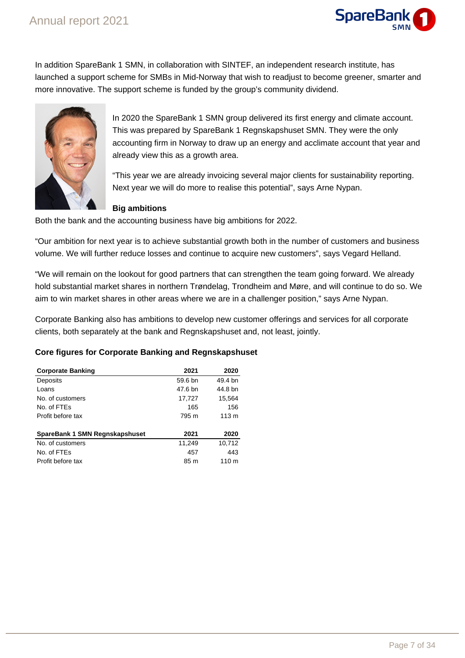

In addition SpareBank 1 SMN, in collaboration with SINTEF, an independent research institute, has launched a support scheme for SMBs in Mid-Norway that wish to readjust to become greener, smarter and more innovative. The support scheme is funded by the group's community dividend.



In 2020 the SpareBank 1 SMN group delivered its first energy and climate account. This was prepared by SpareBank 1 Regnskapshuset SMN. They were the only accounting firm in Norway to draw up an energy and acclimate account that year and already view this as a growth area.

"This year we are already invoicing several major clients for sustainability reporting. Next year we will do more to realise this potential", says Arne Nypan.

### **Big ambitions**

Both the bank and the accounting business have big ambitions for 2022.

"Our ambition for next year is to achieve substantial growth both in the number of customers and business volume. We will further reduce losses and continue to acquire new customers", says Vegard Helland.

"We will remain on the lookout for good partners that can strengthen the team going forward. We already hold substantial market shares in northern Trøndelag, Trondheim and Møre, and will continue to do so. We aim to win market shares in other areas where we are in a challenger position," says Arne Nypan.

Corporate Banking also has ambitions to develop new customer offerings and services for all corporate clients, both separately at the bank and Regnskapshuset and, not least, jointly.

### **Core figures for Corporate Banking and Regnskapshuset**

| <b>Corporate Banking</b>       | 2021    | 2020             |
|--------------------------------|---------|------------------|
| Deposits                       | 59.6 bn | 49.4 bn          |
| Loans                          | 47.6 bn | 44.8 bn          |
| No. of customers               | 17,727  | 15,564           |
| No. of FTEs                    | 165     | 156              |
| Profit before tax              | 795 m   | 113 <sub>m</sub> |
| SpareBank 1 SMN Regnskapshuset | 2021    | 2020             |
| No. of customers               | 11,249  | 10,712           |
| No. of FTEs                    | 457     | 443              |
| Profit before tax              | 85 m    | 110 <sub>m</sub> |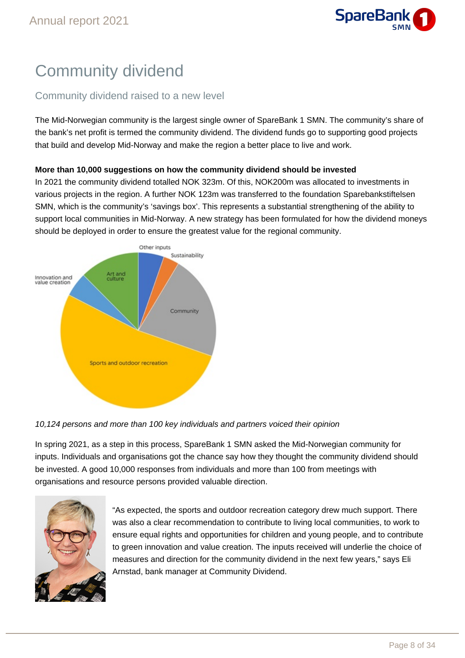

# Community dividend

### Community dividend raised to a new level

The Mid-Norwegian community is the largest single owner of SpareBank 1 SMN. The community's share of the bank's net profit is termed the community dividend. The dividend funds go to supporting good projects that build and develop Mid-Norway and make the region a better place to live and work.

### **More than 10,000 suggestions on how the community dividend should be invested**

In 2021 the community dividend totalled NOK 323m. Of this, NOK200m was allocated to investments in various projects in the region. A further NOK 123m was transferred to the foundation Sparebankstiftelsen SMN, which is the community's 'savings box'. This represents a substantial strengthening of the ability to support local communities in Mid-Norway. A new strategy has been formulated for how the dividend moneys should be deployed in order to ensure the greatest value for the regional community.



### 10,124 persons and more than 100 key individuals and partners voiced their opinion

In spring 2021, as a step in this process, SpareBank 1 SMN asked the Mid-Norwegian community for inputs. Individuals and organisations got the chance say how they thought the community dividend should be invested. A good 10,000 responses from individuals and more than 100 from meetings with organisations and resource persons provided valuable direction.



"As expected, the sports and outdoor recreation category drew much support. There was also a clear recommendation to contribute to living local communities, to work to ensure equal rights and opportunities for children and young people, and to contribute to green innovation and value creation. The inputs received will underlie the choice of measures and direction for the community dividend in the next few years," says Eli Arnstad, bank manager at Community Dividend.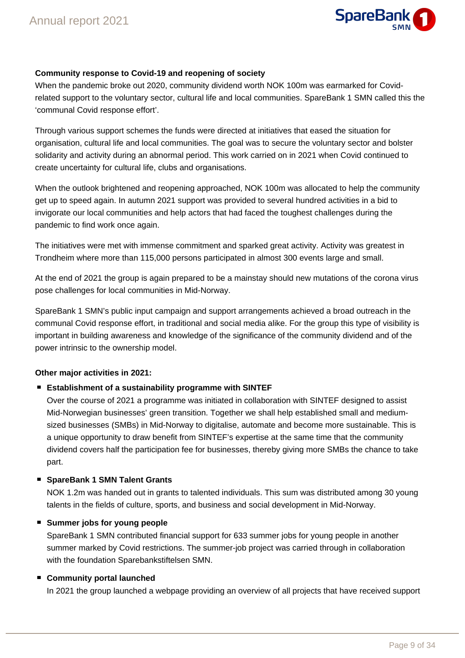

### **Community response to Covid-19 and reopening of society**

When the pandemic broke out 2020, community dividend worth NOK 100m was earmarked for Covidrelated support to the voluntary sector, cultural life and local communities. SpareBank 1 SMN called this the 'communal Covid response effort'.

Through various support schemes the funds were directed at initiatives that eased the situation for organisation, cultural life and local communities. The goal was to secure the voluntary sector and bolster solidarity and activity during an abnormal period. This work carried on in 2021 when Covid continued to create uncertainty for cultural life, clubs and organisations.

When the outlook brightened and reopening approached, NOK 100m was allocated to help the community get up to speed again. In autumn 2021 support was provided to several hundred activities in a bid to invigorate our local communities and help actors that had faced the toughest challenges during the pandemic to find work once again.

The initiatives were met with immense commitment and sparked great activity. Activity was greatest in Trondheim where more than 115,000 persons participated in almost 300 events large and small.

At the end of 2021 the group is again prepared to be a mainstay should new mutations of the corona virus pose challenges for local communities in Mid-Norway.

SpareBank 1 SMN's public input campaign and support arrangements achieved a broad outreach in the communal Covid response effort, in traditional and social media alike. For the group this type of visibility is important in building awareness and knowledge of the significance of the community dividend and of the power intrinsic to the ownership model.

### **Other major activities in 2021:**

### **Establishment of a sustainability programme with SINTEF**

Over the course of 2021 a programme was initiated in collaboration with SINTEF designed to assist Mid-Norwegian businesses' green transition. Together we shall help established small and mediumsized businesses (SMBs) in Mid-Norway to digitalise, automate and become more sustainable. This is a unique opportunity to draw benefit from SINTEF's expertise at the same time that the community dividend covers half the participation fee for businesses, thereby giving more SMBs the chance to take part.

### ■ SpareBank 1 SMN Talent Grants

NOK 1.2m was handed out in grants to talented individuals. This sum was distributed among 30 young talents in the fields of culture, sports, and business and social development in Mid-Norway.

### **Summer jobs for young people**

SpareBank 1 SMN contributed financial support for 633 summer jobs for young people in another summer marked by Covid restrictions. The summer-job project was carried through in collaboration with the foundation Sparebankstiftelsen SMN.

### **Community portal launched**

In 2021 the group launched a webpage providing an overview of all projects that have received support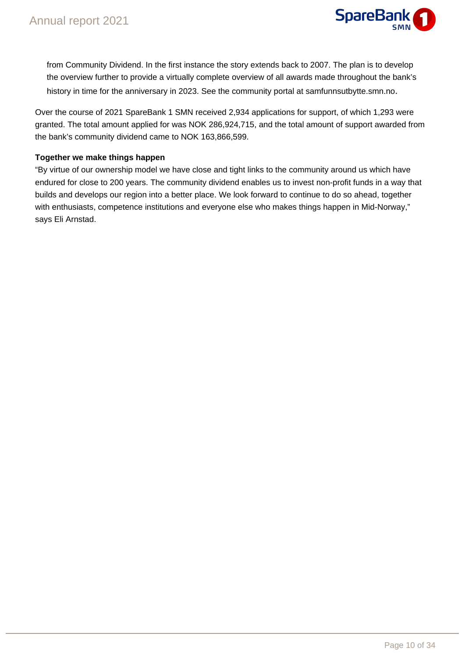

from Community Dividend. In the first instance the story extends back to 2007. The plan is to develop the overview further to provide a virtually complete overview of all awards made throughout the bank's history in time for the anniversary in 2023. See the community portal at samfunnsutbytte.smn.no.

Over the course of 2021 SpareBank 1 SMN received 2,934 applications for support, of which 1,293 were granted. The total amount applied for was NOK 286,924,715, and the total amount of support awarded from the bank's community dividend came to NOK 163,866,599.

### **Together we make things happen**

"By virtue of our ownership model we have close and tight links to the community around us which have endured for close to 200 years. The community dividend enables us to invest non-profit funds in a way that builds and develops our region into a better place. We look forward to continue to do so ahead, together with enthusiasts, competence institutions and everyone else who makes things happen in Mid-Norway," says Eli Arnstad.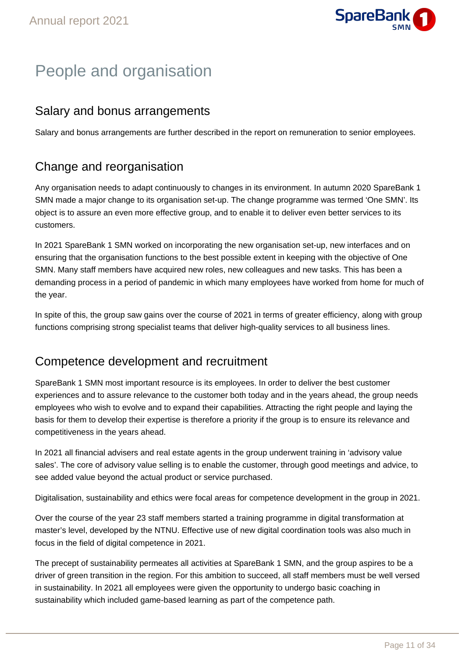

# People and organisation

# Salary and bonus arrangements

Salary and bonus arrangements are further described in the report on remuneration to senior employees.

# Change and reorganisation

Any organisation needs to adapt continuously to changes in its environment. In autumn 2020 SpareBank 1 SMN made a major change to its organisation set-up. The change programme was termed 'One SMN'. Its object is to assure an even more effective group, and to enable it to deliver even better services to its customers.

In 2021 SpareBank 1 SMN worked on incorporating the new organisation set-up, new interfaces and on ensuring that the organisation functions to the best possible extent in keeping with the objective of One SMN. Many staff members have acquired new roles, new colleagues and new tasks. This has been a demanding process in a period of pandemic in which many employees have worked from home for much of the year.

In spite of this, the group saw gains over the course of 2021 in terms of greater efficiency, along with group functions comprising strong specialist teams that deliver high-quality services to all business lines.

# Competence development and recruitment

SpareBank 1 SMN most important resource is its employees. In order to deliver the best customer experiences and to assure relevance to the customer both today and in the years ahead, the group needs employees who wish to evolve and to expand their capabilities. Attracting the right people and laying the basis for them to develop their expertise is therefore a priority if the group is to ensure its relevance and competitiveness in the years ahead.

In 2021 all financial advisers and real estate agents in the group underwent training in 'advisory value sales'. The core of advisory value selling is to enable the customer, through good meetings and advice, to see added value beyond the actual product or service purchased.

Digitalisation, sustainability and ethics were focal areas for competence development in the group in 2021.

Over the course of the year 23 staff members started a training programme in digital transformation at master's level, developed by the NTNU. Effective use of new digital coordination tools was also much in focus in the field of digital competence in 2021.

The precept of sustainability permeates all activities at SpareBank 1 SMN, and the group aspires to be a driver of green transition in the region. For this ambition to succeed, all staff members must be well versed in sustainability. In 2021 all employees were given the opportunity to undergo basic coaching in sustainability which included game-based learning as part of the competence path.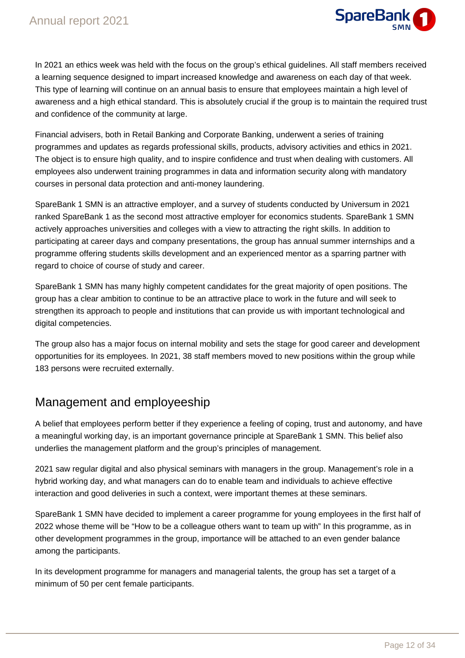

In 2021 an ethics week was held with the focus on the group's ethical guidelines. All staff members received a learning sequence designed to impart increased knowledge and awareness on each day of that week. This type of learning will continue on an annual basis to ensure that employees maintain a high level of awareness and a high ethical standard. This is absolutely crucial if the group is to maintain the required trust and confidence of the community at large.

Financial advisers, both in Retail Banking and Corporate Banking, underwent a series of training programmes and updates as regards professional skills, products, advisory activities and ethics in 2021. The object is to ensure high quality, and to inspire confidence and trust when dealing with customers. All employees also underwent training programmes in data and information security along with mandatory courses in personal data protection and anti-money laundering.

SpareBank 1 SMN is an attractive employer, and a survey of students conducted by Universum in 2021 ranked SpareBank 1 as the second most attractive employer for economics students. SpareBank 1 SMN actively approaches universities and colleges with a view to attracting the right skills. In addition to participating at career days and company presentations, the group has annual summer internships and a programme offering students skills development and an experienced mentor as a sparring partner with regard to choice of course of study and career.

SpareBank 1 SMN has many highly competent candidates for the great majority of open positions. The group has a clear ambition to continue to be an attractive place to work in the future and will seek to strengthen its approach to people and institutions that can provide us with important technological and digital competencies.

The group also has a major focus on internal mobility and sets the stage for good career and development opportunities for its employees. In 2021, 38 staff members moved to new positions within the group while 183 persons were recruited externally.

### Management and employeeship

A belief that employees perform better if they experience a feeling of coping, trust and autonomy, and have a meaningful working day, is an important governance principle at SpareBank 1 SMN. This belief also underlies the management platform and the group's principles of management.

2021 saw regular digital and also physical seminars with managers in the group. Management's role in a hybrid working day, and what managers can do to enable team and individuals to achieve effective interaction and good deliveries in such a context, were important themes at these seminars.

SpareBank 1 SMN have decided to implement a career programme for young employees in the first half of 2022 whose theme will be "How to be a colleague others want to team up with" In this programme, as in other development programmes in the group, importance will be attached to an even gender balance among the participants.

In its development programme for managers and managerial talents, the group has set a target of a minimum of 50 per cent female participants.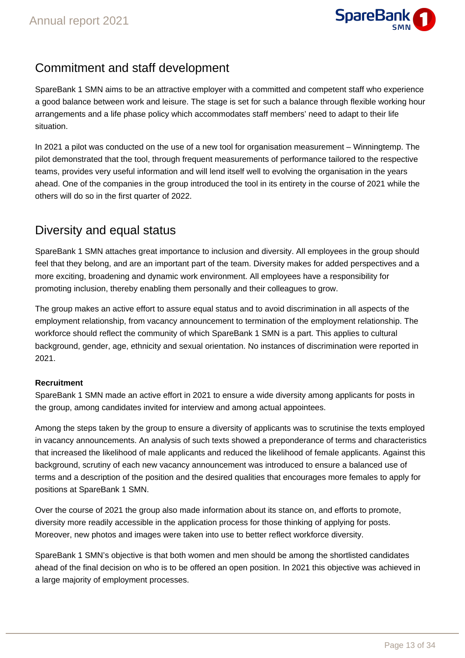

# Commitment and staff development

SpareBank 1 SMN aims to be an attractive employer with a committed and competent staff who experience a good balance between work and leisure. The stage is set for such a balance through flexible working hour arrangements and a life phase policy which accommodates staff members' need to adapt to their life situation.

In 2021 a pilot was conducted on the use of a new tool for organisation measurement – Winningtemp. The pilot demonstrated that the tool, through frequent measurements of performance tailored to the respective teams, provides very useful information and will lend itself well to evolving the organisation in the years ahead. One of the companies in the group introduced the tool in its entirety in the course of 2021 while the others will do so in the first quarter of 2022.

# Diversity and equal status

SpareBank 1 SMN attaches great importance to inclusion and diversity. All employees in the group should feel that they belong, and are an important part of the team. Diversity makes for added perspectives and a more exciting, broadening and dynamic work environment. All employees have a responsibility for promoting inclusion, thereby enabling them personally and their colleagues to grow.

The group makes an active effort to assure equal status and to avoid discrimination in all aspects of the employment relationship, from vacancy announcement to termination of the employment relationship. The workforce should reflect the community of which SpareBank 1 SMN is a part. This applies to cultural background, gender, age, ethnicity and sexual orientation. No instances of discrimination were reported in 2021.

### **Recruitment**

SpareBank 1 SMN made an active effort in 2021 to ensure a wide diversity among applicants for posts in the group, among candidates invited for interview and among actual appointees.

Among the steps taken by the group to ensure a diversity of applicants was to scrutinise the texts employed in vacancy announcements. An analysis of such texts showed a preponderance of terms and characteristics that increased the likelihood of male applicants and reduced the likelihood of female applicants. Against this background, scrutiny of each new vacancy announcement was introduced to ensure a balanced use of terms and a description of the position and the desired qualities that encourages more females to apply for positions at SpareBank 1 SMN.

Over the course of 2021 the group also made information about its stance on, and efforts to promote, diversity more readily accessible in the application process for those thinking of applying for posts. Moreover, new photos and images were taken into use to better reflect workforce diversity.

SpareBank 1 SMN's objective is that both women and men should be among the shortlisted candidates ahead of the final decision on who is to be offered an open position. In 2021 this objective was achieved in a large majority of employment processes.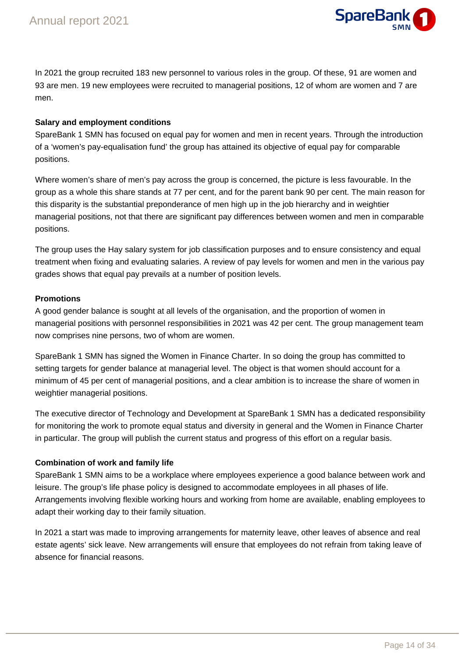

In 2021 the group recruited 183 new personnel to various roles in the group. Of these, 91 are women and 93 are men. 19 new employees were recruited to managerial positions, 12 of whom are women and 7 are men.

### **Salary and employment conditions**

SpareBank 1 SMN has focused on equal pay for women and men in recent years. Through the introduction of a 'women's pay-equalisation fund' the group has attained its objective of equal pay for comparable positions.

Where women's share of men's pay across the group is concerned, the picture is less favourable. In the group as a whole this share stands at 77 per cent, and for the parent bank 90 per cent. The main reason for this disparity is the substantial preponderance of men high up in the job hierarchy and in weightier managerial positions, not that there are significant pay differences between women and men in comparable positions.

The group uses the Hay salary system for job classification purposes and to ensure consistency and equal treatment when fixing and evaluating salaries. A review of pay levels for women and men in the various pay grades shows that equal pay prevails at a number of position levels.

### **Promotions**

A good gender balance is sought at all levels of the organisation, and the proportion of women in managerial positions with personnel responsibilities in 2021 was 42 per cent. The group management team now comprises nine persons, two of whom are women.

SpareBank 1 SMN has signed the Women in Finance Charter. In so doing the group has committed to setting targets for gender balance at managerial level. The object is that women should account for a minimum of 45 per cent of managerial positions, and a clear ambition is to increase the share of women in weightier managerial positions.

The executive director of Technology and Development at SpareBank 1 SMN has a dedicated responsibility for monitoring the work to promote equal status and diversity in general and the Women in Finance Charter in particular. The group will publish the current status and progress of this effort on a regular basis.

### **Combination of work and family life**

SpareBank 1 SMN aims to be a workplace where employees experience a good balance between work and leisure. The group's life phase policy is designed to accommodate employees in all phases of life. Arrangements involving flexible working hours and working from home are available, enabling employees to adapt their working day to their family situation.

In 2021 a start was made to improving arrangements for maternity leave, other leaves of absence and real estate agents' sick leave. New arrangements will ensure that employees do not refrain from taking leave of absence for financial reasons.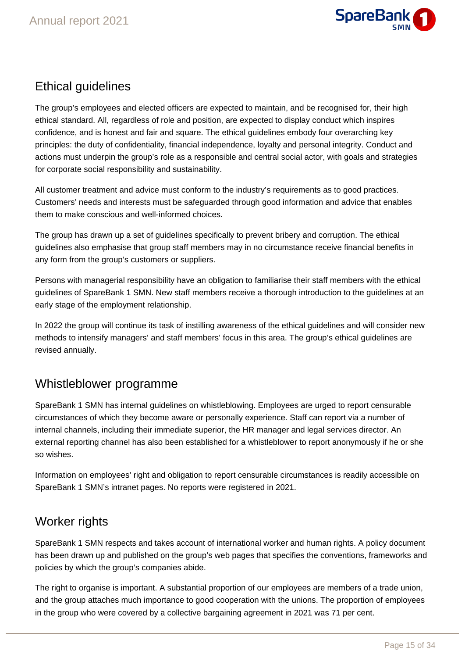

# Ethical guidelines

The group's employees and elected officers are expected to maintain, and be recognised for, their high ethical standard. All, regardless of role and position, are expected to display conduct which inspires confidence, and is honest and fair and square. The ethical guidelines embody four overarching key principles: the duty of confidentiality, financial independence, loyalty and personal integrity. Conduct and actions must underpin the group's role as a responsible and central social actor, with goals and strategies for corporate social responsibility and sustainability.

All customer treatment and advice must conform to the industry's requirements as to good practices. Customers' needs and interests must be safeguarded through good information and advice that enables them to make conscious and well-informed choices.

The group has drawn up a set of guidelines specifically to prevent bribery and corruption. The ethical guidelines also emphasise that group staff members may in no circumstance receive financial benefits in any form from the group's customers or suppliers.

Persons with managerial responsibility have an obligation to familiarise their staff members with the ethical guidelines of SpareBank 1 SMN. New staff members receive a thorough introduction to the guidelines at an early stage of the employment relationship.

In 2022 the group will continue its task of instilling awareness of the ethical guidelines and will consider new methods to intensify managers' and staff members' focus in this area. The group's ethical guidelines are revised annually.

# Whistleblower programme

SpareBank 1 SMN has internal guidelines on whistleblowing. Employees are urged to report censurable circumstances of which they become aware or personally experience. Staff can report via a number of internal channels, including their immediate superior, the HR manager and legal services director. An external reporting channel has also been established for a whistleblower to report anonymously if he or she so wishes.

Information on employees' right and obligation to report censurable circumstances is readily accessible on SpareBank 1 SMN's intranet pages. No reports were registered in 2021.

# Worker rights

SpareBank 1 SMN respects and takes account of international worker and human rights. A policy document has been drawn up and published on the group's web pages that specifies the conventions, frameworks and policies by which the group's companies abide.

The right to organise is important. A substantial proportion of our employees are members of a trade union, and the group attaches much importance to good cooperation with the unions. The proportion of employees in the group who were covered by a collective bargaining agreement in 2021 was 71 per cent.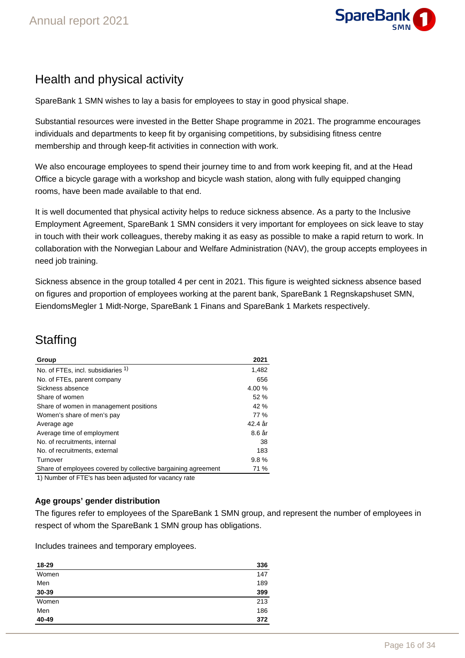

# Health and physical activity

SpareBank 1 SMN wishes to lay a basis for employees to stay in good physical shape.

Substantial resources were invested in the Better Shape programme in 2021. The programme encourages individuals and departments to keep fit by organising competitions, by subsidising fitness centre membership and through keep-fit activities in connection with work.

We also encourage employees to spend their journey time to and from work keeping fit, and at the Head Office a bicycle garage with a workshop and bicycle wash station, along with fully equipped changing rooms, have been made available to that end.

It is well documented that physical activity helps to reduce sickness absence. As a party to the Inclusive Employment Agreement, SpareBank 1 SMN considers it very important for employees on sick leave to stay in touch with their work colleagues, thereby making it as easy as possible to make a rapid return to work. In collaboration with the Norwegian Labour and Welfare Administration (NAV), the group accepts employees in need job training.

Sickness absence in the group totalled 4 per cent in 2021. This figure is weighted sickness absence based on figures and proportion of employees working at the parent bank, SpareBank 1 Regnskapshuset SMN, EiendomsMegler 1 Midt-Norge, SpareBank 1 Finans and SpareBank 1 Markets respectively.

# **Staffing**

| Group                                                                  | 2021    |
|------------------------------------------------------------------------|---------|
| No. of FTEs, incl. subsidiaries 1)                                     | 1,482   |
| No. of FTEs, parent company                                            | 656     |
| Sickness absence                                                       | 4.00%   |
| Share of women                                                         | 52%     |
| Share of women in management positions                                 | 42 %    |
| Women's share of men's pay                                             | 77 %    |
| Average age                                                            | 42.4 år |
| Average time of employment                                             | 8.6 år  |
| No. of recruitments, internal                                          | 38      |
| No. of recruitments, external                                          | 183     |
| Turnover                                                               | 9.8%    |
| Share of employees covered by collective bargaining agreement          | 71 %    |
| AN Information of FITPLe labels for an additional feature construction |         |

1) Number of FTE's has been adjusted for vacancy rate

### **Age groups' gender distribution**

The figures refer to employees of the SpareBank 1 SMN group, and represent the number of employees in respect of whom the SpareBank 1 SMN group has obligations.

Includes trainees and temporary employees.

| 18-29 | 336 |
|-------|-----|
| Women | 147 |
| Men   | 189 |
| 30-39 | 399 |
| Women | 213 |
| Men   | 186 |
| 40-49 | 372 |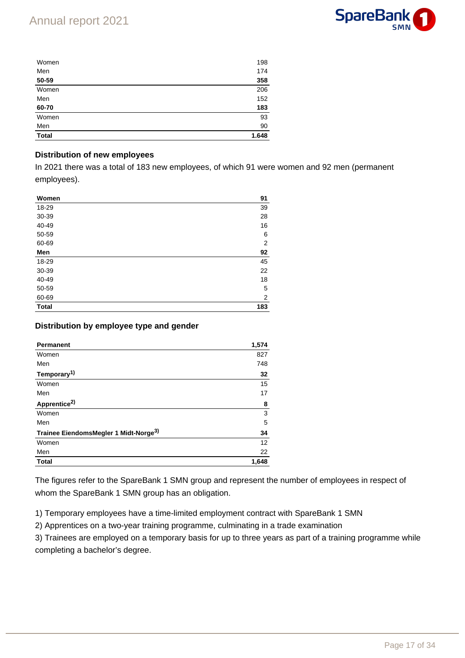

| Women        | 198   |
|--------------|-------|
| Men          | 174   |
| 50-59        | 358   |
| Women        | 206   |
| Men          | 152   |
| 60-70        | 183   |
| Women        | 93    |
| Men          | 90    |
| <b>Total</b> | 1.648 |

### **Distribution of new employees**

In 2021 there was a total of 183 new employees, of which 91 were women and 92 men (permanent employees).

| Women        | 91             |
|--------------|----------------|
| 18-29        | 39             |
| 30-39        | 28             |
| 40-49        | 16             |
| 50-59        | 6              |
| 60-69        | $\overline{2}$ |
| Men          | 92             |
| 18-29        | 45             |
| 30-39        | 22             |
| 40-49        | 18             |
| 50-59        | 5              |
| 60-69        | 2              |
| <b>Total</b> | 183            |

### **Distribution by employee type and gender**

| <b>Permanent</b>                                  | 1,574 |
|---------------------------------------------------|-------|
| Women                                             | 827   |
| Men                                               | 748   |
| Temporary <sup>1)</sup>                           | 32    |
| Women                                             | 15    |
| Men                                               | 17    |
| Apprentice <sup>2)</sup>                          | 8     |
| Women                                             | 3     |
| Men                                               | 5     |
| Trainee EiendomsMegler 1 Midt-Norge <sup>3)</sup> | 34    |
| Women                                             | 12    |
| Men                                               | 22    |
| <b>Total</b>                                      | 1,648 |

The figures refer to the SpareBank 1 SMN group and represent the number of employees in respect of whom the SpareBank 1 SMN group has an obligation.

1) Temporary employees have a time-limited employment contract with SpareBank 1 SMN

2) Apprentices on a two-year training programme, culminating in a trade examination

3) Trainees are employed on a temporary basis for up to three years as part of a training programme while completing a bachelor's degree.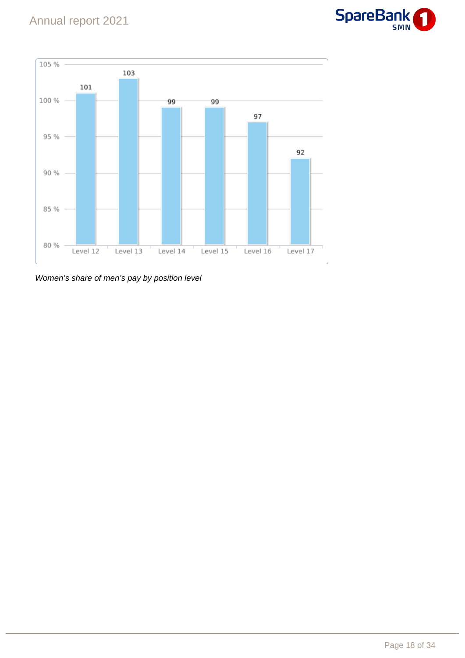



Women's share of men's pay by position level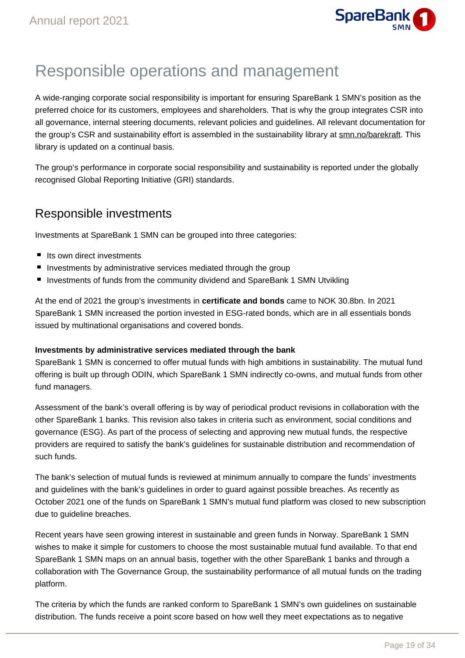

# Responsible operations and management

A wide-ranging corporate social responsibility is important for ensuring SpareBank 1 SMN's position as the preferred choice for its customers, employees and shareholders. That is why the group integrates CSR into all governance, internal steering documents, relevant policies and guidelines. All relevant documentation for the group's CSR and sustainability effort is assembled in the sustainability library at smn.no/barekraft. This library is updated on a continual basis.

The group's performance in corporate social responsibility and sustainability is reported under the globally recognised Global Reporting Initiative (GRI) standards.

### Responsible investments

Investments at SpareBank 1 SMN can be grouped into three categories:

- $\blacksquare$  Its own direct investments
- **Investments by administrative services mediated through the group**
- Investments of funds from the community dividend and SpareBank 1 SMN Utvikling

At the end of 2021 the group's investments in **certificate and bonds** came to NOK 30.8bn. In 2021 SpareBank 1 SMN increased the portion invested in ESG-rated bonds, which are in all essentials bonds issued by multinational organisations and covered bonds.

### **Investments by administrative services mediated through the bank**

SpareBank 1 SMN is concerned to offer mutual funds with high ambitions in sustainability. The mutual fund offering is built up through ODIN, which SpareBank 1 SMN indirectly co-owns, and mutual funds from other fund managers.

Assessment of the bank's overall offering is by way of periodical product revisions in collaboration with the other SpareBank 1 banks. This revision also takes in criteria such as environment, social conditions and governance (ESG). As part of the process of selecting and approving new mutual funds, the respective providers are required to satisfy the bank's guidelines for sustainable distribution and recommendation of such funds.

The bank's selection of mutual funds is reviewed at minimum annually to compare the funds' investments and guidelines with the bank's guidelines in order to guard against possible breaches. As recently as October 2021 one of the funds on SpareBank 1 SMN's mutual fund platform was closed to new subscription due to quideline breaches.

Recent years have seen growing interest in sustainable and green funds in Norway. SpareBank 1 SMN wishes to make it simple for customers to choose the most sustainable mutual fund available. To that end SpareBank 1 SMN maps on an annual basis, together with the other SpareBank 1 banks and through a collaboration with The Governance Group, the sustainability performance of all mutual funds on the trading platform.

The criteria by which the funds are ranked conform to SpareBank 1 SMN's own guidelines on sustainable distribution. The funds receive a point score based on how well they meet expectations as to negative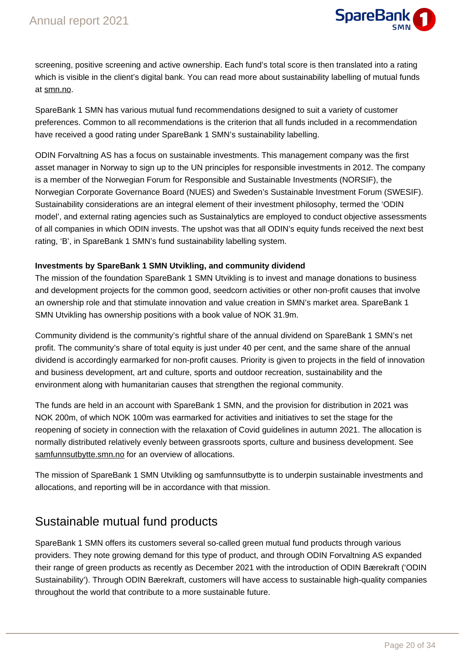

screening, positive screening and active ownership. Each fund's total score is then translated into a rating which is visible in the client's digital bank. You can read more about sustainability labelling of mutual funds at smn.no.

SpareBank 1 SMN has various mutual fund recommendations designed to suit a variety of customer preferences. Common to all recommendations is the criterion that all funds included in a recommendation have received a good rating under SpareBank 1 SMN's sustainability labelling.

ODIN Forvaltning AS has a focus on sustainable investments. This management company was the first asset manager in Norway to sign up to the UN principles for responsible investments in 2012. The company is a member of the Norwegian Forum for Responsible and Sustainable Investments (NORSIF), the Norwegian Corporate Governance Board (NUES) and Sweden's Sustainable Investment Forum (SWESIF). Sustainability considerations are an integral element of their investment philosophy, termed the 'ODIN model', and external rating agencies such as Sustainalytics are employed to conduct objective assessments of all companies in which ODIN invests. The upshot was that all ODIN's equity funds received the next best rating, 'B', in SpareBank 1 SMN's fund sustainability labelling system.

### **Investments by SpareBank 1 SMN Utvikling, and community dividend**

The mission of the foundation SpareBank 1 SMN Utvikling is to invest and manage donations to business and development projects for the common good, seedcorn activities or other non-profit causes that involve an ownership role and that stimulate innovation and value creation in SMN's market area. SpareBank 1 SMN Utvikling has ownership positions with a book value of NOK 31.9m.

Community dividend is the community's rightful share of the annual dividend on SpareBank 1 SMN's net profit. The community's share of total equity is just under 40 per cent, and the same share of the annual dividend is accordingly earmarked for non-profit causes. Priority is given to projects in the field of innovation and business development, art and culture, sports and outdoor recreation, sustainability and the environment along with humanitarian causes that strengthen the regional community.

The funds are held in an account with SpareBank 1 SMN, and the provision for distribution in 2021 was NOK 200m, of which NOK 100m was earmarked for activities and initiatives to set the stage for the reopening of society in connection with the relaxation of Covid guidelines in autumn 2021. The allocation is normally distributed relatively evenly between grassroots sports, culture and business development. See samfunnsutbytte.smn.no for an overview of allocations.

The mission of SpareBank 1 SMN Utvikling og samfunnsutbytte is to underpin sustainable investments and allocations, and reporting will be in accordance with that mission.

# Sustainable mutual fund products

SpareBank 1 SMN offers its customers several so-called green mutual fund products through various providers. They note growing demand for this type of product, and through ODIN Forvaltning AS expanded their range of green products as recently as December 2021 with the introduction of ODIN Bærekraft ('ODIN Sustainability'). Through ODIN Bærekraft, customers will have access to sustainable high-quality companies throughout the world that contribute to a more sustainable future.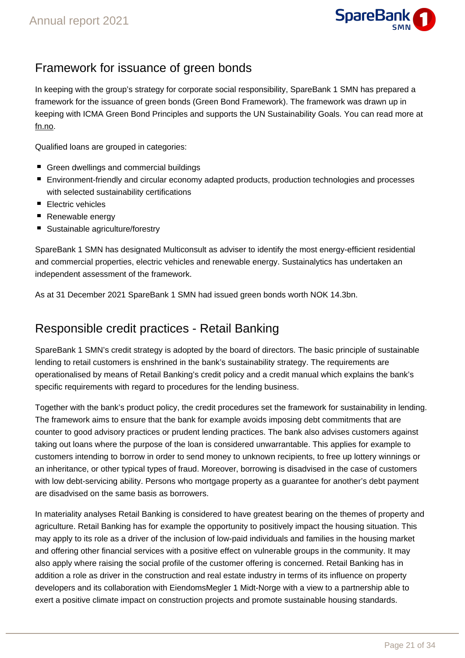

# Framework for issuance of green bonds

In keeping with the group's strategy for corporate social responsibility, SpareBank 1 SMN has prepared a framework for the issuance of green bonds (Green Bond Framework). The framework was drawn up in keeping with ICMA Green Bond Principles and supports the UN Sustainability Goals. You can read more at fn.no.

Qualified loans are grouped in categories:

- Green dwellings and commercial buildings
- Environment-friendly and circular economy adapted products, production technologies and processes with selected sustainability certifications
- Electric vehicles
- Renewable energy
- Sustainable agriculture/forestry

SpareBank 1 SMN has designated Multiconsult as adviser to identify the most energy-efficient residential and commercial properties, electric vehicles and renewable energy. Sustainalytics has undertaken an independent assessment of the framework.

As at 31 December 2021 SpareBank 1 SMN had issued green bonds worth NOK 14.3bn.

### Responsible credit practices - Retail Banking

SpareBank 1 SMN's credit strategy is adopted by the board of directors. The basic principle of sustainable lending to retail customers is enshrined in the bank's sustainability strategy. The requirements are operationalised by means of Retail Banking's credit policy and a credit manual which explains the bank's specific requirements with regard to procedures for the lending business.

Together with the bank's product policy, the credit procedures set the framework for sustainability in lending. The framework aims to ensure that the bank for example avoids imposing debt commitments that are counter to good advisory practices or prudent lending practices. The bank also advises customers against taking out loans where the purpose of the loan is considered unwarrantable. This applies for example to customers intending to borrow in order to send money to unknown recipients, to free up lottery winnings or an inheritance, or other typical types of fraud. Moreover, borrowing is disadvised in the case of customers with low debt-servicing ability. Persons who mortgage property as a guarantee for another's debt payment are disadvised on the same basis as borrowers.

In materiality analyses Retail Banking is considered to have greatest bearing on the themes of property and agriculture. Retail Banking has for example the opportunity to positively impact the housing situation. This may apply to its role as a driver of the inclusion of low-paid individuals and families in the housing market and offering other financial services with a positive effect on vulnerable groups in the community. It may also apply where raising the social profile of the customer offering is concerned. Retail Banking has in addition a role as driver in the construction and real estate industry in terms of its influence on property developers and its collaboration with EiendomsMegler 1 Midt-Norge with a view to a partnership able to exert a positive climate impact on construction projects and promote sustainable housing standards.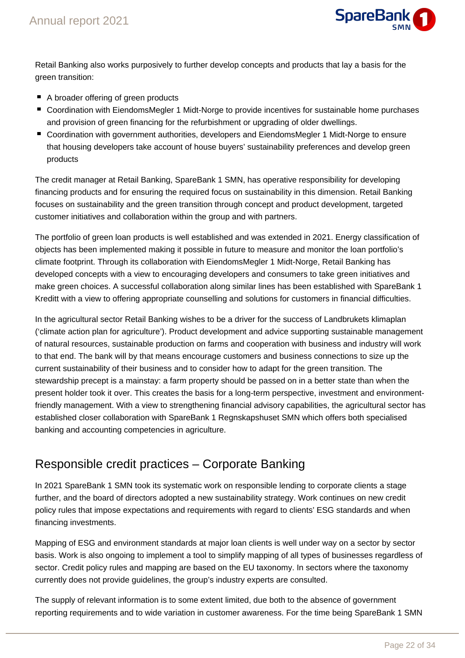

Retail Banking also works purposively to further develop concepts and products that lay a basis for the green transition:

- A broader offering of green products
- Coordination with EiendomsMegler 1 Midt-Norge to provide incentives for sustainable home purchases and provision of green financing for the refurbishment or upgrading of older dwellings.
- Coordination with government authorities, developers and EiendomsMegler 1 Midt-Norge to ensure that housing developers take account of house buyers' sustainability preferences and develop green products

The credit manager at Retail Banking, SpareBank 1 SMN, has operative responsibility for developing financing products and for ensuring the required focus on sustainability in this dimension. Retail Banking focuses on sustainability and the green transition through concept and product development, targeted customer initiatives and collaboration within the group and with partners.

The portfolio of green loan products is well established and was extended in 2021. Energy classification of objects has been implemented making it possible in future to measure and monitor the loan portfolio's climate footprint. Through its collaboration with EiendomsMegler 1 Midt-Norge, Retail Banking has developed concepts with a view to encouraging developers and consumers to take green initiatives and make green choices. A successful collaboration along similar lines has been established with SpareBank 1 Kreditt with a view to offering appropriate counselling and solutions for customers in financial difficulties.

In the agricultural sector Retail Banking wishes to be a driver for the success of Landbrukets klimaplan ('climate action plan for agriculture'). Product development and advice supporting sustainable management of natural resources, sustainable production on farms and cooperation with business and industry will work to that end. The bank will by that means encourage customers and business connections to size up the current sustainability of their business and to consider how to adapt for the green transition. The stewardship precept is a mainstay: a farm property should be passed on in a better state than when the present holder took it over. This creates the basis for a long-term perspective, investment and environmentfriendly management. With a view to strengthening financial advisory capabilities, the agricultural sector has established closer collaboration with SpareBank 1 Regnskapshuset SMN which offers both specialised banking and accounting competencies in agriculture.

# Responsible credit practices – Corporate Banking

In 2021 SpareBank 1 SMN took its systematic work on responsible lending to corporate clients a stage further, and the board of directors adopted a new sustainability strategy. Work continues on new credit policy rules that impose expectations and requirements with regard to clients' ESG standards and when financing investments.

Mapping of ESG and environment standards at major loan clients is well under way on a sector by sector basis. Work is also ongoing to implement a tool to simplify mapping of all types of businesses regardless of sector. Credit policy rules and mapping are based on the EU taxonomy. In sectors where the taxonomy currently does not provide guidelines, the group's industry experts are consulted.

The supply of relevant information is to some extent limited, due both to the absence of government reporting requirements and to wide variation in customer awareness. For the time being SpareBank 1 SMN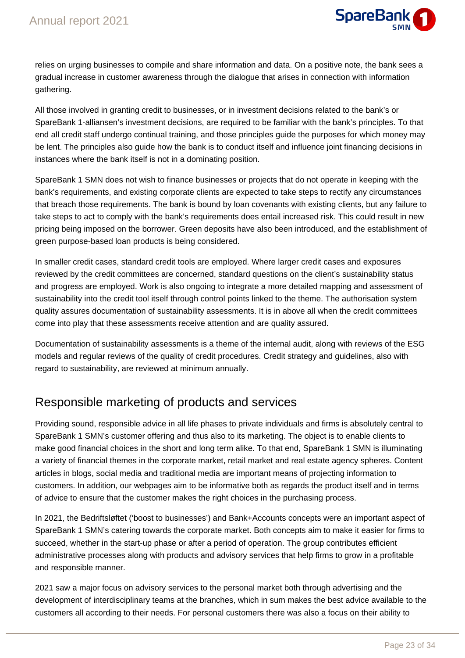

relies on urging businesses to compile and share information and data. On a positive note, the bank sees a gradual increase in customer awareness through the dialogue that arises in connection with information gathering.

All those involved in granting credit to businesses, or in investment decisions related to the bank's or SpareBank 1-alliansen's investment decisions, are required to be familiar with the bank's principles. To that end all credit staff undergo continual training, and those principles guide the purposes for which money may be lent. The principles also guide how the bank is to conduct itself and influence joint financing decisions in instances where the bank itself is not in a dominating position.

SpareBank 1 SMN does not wish to finance businesses or projects that do not operate in keeping with the bank's requirements, and existing corporate clients are expected to take steps to rectify any circumstances that breach those requirements. The bank is bound by loan covenants with existing clients, but any failure to take steps to act to comply with the bank's requirements does entail increased risk. This could result in new pricing being imposed on the borrower. Green deposits have also been introduced, and the establishment of green purpose-based loan products is being considered.

In smaller credit cases, standard credit tools are employed. Where larger credit cases and exposures reviewed by the credit committees are concerned, standard questions on the client's sustainability status and progress are employed. Work is also ongoing to integrate a more detailed mapping and assessment of sustainability into the credit tool itself through control points linked to the theme. The authorisation system quality assures documentation of sustainability assessments. It is in above all when the credit committees come into play that these assessments receive attention and are quality assured.

Documentation of sustainability assessments is a theme of the internal audit, along with reviews of the ESG models and regular reviews of the quality of credit procedures. Credit strategy and guidelines, also with regard to sustainability, are reviewed at minimum annually.

# Responsible marketing of products and services

Providing sound, responsible advice in all life phases to private individuals and firms is absolutely central to SpareBank 1 SMN's customer offering and thus also to its marketing. The object is to enable clients to make good financial choices in the short and long term alike. To that end, SpareBank 1 SMN is illuminating a variety of financial themes in the corporate market, retail market and real estate agency spheres. Content articles in blogs, social media and traditional media are important means of projecting information to customers. In addition, our webpages aim to be informative both as regards the product itself and in terms of advice to ensure that the customer makes the right choices in the purchasing process.

In 2021, the Bedriftsløftet ('boost to businesses') and Bank+Accounts concepts were an important aspect of SpareBank 1 SMN's catering towards the corporate market. Both concepts aim to make it easier for firms to succeed, whether in the start-up phase or after a period of operation. The group contributes efficient administrative processes along with products and advisory services that help firms to grow in a profitable and responsible manner.

2021 saw a major focus on advisory services to the personal market both through advertising and the development of interdisciplinary teams at the branches, which in sum makes the best advice available to the customers all according to their needs. For personal customers there was also a focus on their ability to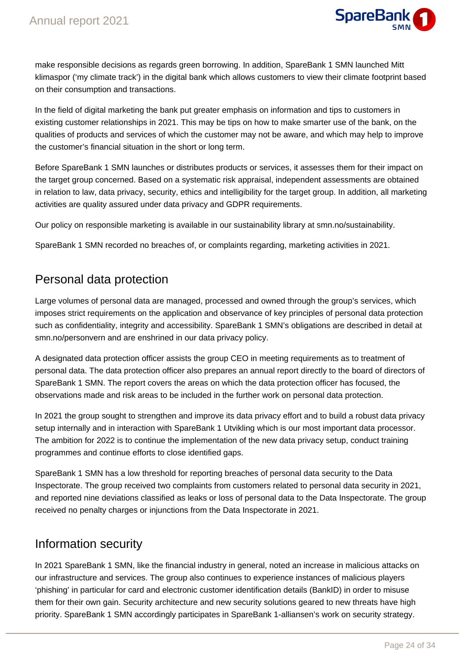

make responsible decisions as regards green borrowing. In addition, SpareBank 1 SMN launched Mitt klimaspor ('my climate track') in the digital bank which allows customers to view their climate footprint based on their consumption and transactions.

In the field of digital marketing the bank put greater emphasis on information and tips to customers in existing customer relationships in 2021. This may be tips on how to make smarter use of the bank, on the qualities of products and services of which the customer may not be aware, and which may help to improve the customer's financial situation in the short or long term.

Before SpareBank 1 SMN launches or distributes products or services, it assesses them for their impact on the target group concerned. Based on a systematic risk appraisal, independent assessments are obtained in relation to law, data privacy, security, ethics and intelligibility for the target group. In addition, all marketing activities are quality assured under data privacy and GDPR requirements.

Our policy on responsible marketing is available in our sustainability library at smn.no/sustainability.

SpareBank 1 SMN recorded no breaches of, or complaints regarding, marketing activities in 2021.

### Personal data protection

Large volumes of personal data are managed, processed and owned through the group's services, which imposes strict requirements on the application and observance of key principles of personal data protection such as confidentiality, integrity and accessibility. SpareBank 1 SMN's obligations are described in detail at smn.no/personvern and are enshrined in our data privacy policy.

A designated data protection officer assists the group CEO in meeting requirements as to treatment of personal data. The data protection officer also prepares an annual report directly to the board of directors of SpareBank 1 SMN. The report covers the areas on which the data protection officer has focused, the observations made and risk areas to be included in the further work on personal data protection.

In 2021 the group sought to strengthen and improve its data privacy effort and to build a robust data privacy setup internally and in interaction with SpareBank 1 Utvikling which is our most important data processor. The ambition for 2022 is to continue the implementation of the new data privacy setup, conduct training programmes and continue efforts to close identified gaps.

SpareBank 1 SMN has a low threshold for reporting breaches of personal data security to the Data Inspectorate. The group received two complaints from customers related to personal data security in 2021, and reported nine deviations classified as leaks or loss of personal data to the Data Inspectorate. The group received no penalty charges or injunctions from the Data Inspectorate in 2021.

### Information security

In 2021 SpareBank 1 SMN, like the financial industry in general, noted an increase in malicious attacks on our infrastructure and services. The group also continues to experience instances of malicious players 'phishing' in particular for card and electronic customer identification details (BankID) in order to misuse them for their own gain. Security architecture and new security solutions geared to new threats have high priority. SpareBank 1 SMN accordingly participates in SpareBank 1-alliansen's work on security strategy.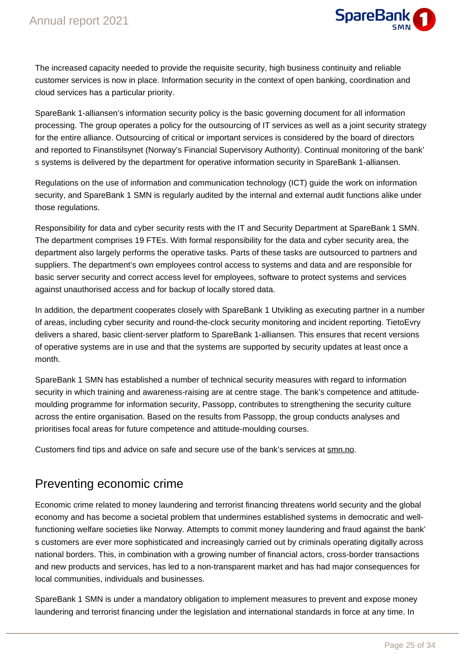

The increased capacity needed to provide the requisite security, high business continuity and reliable customer services is now in place. Information security in the context of open banking, coordination and cloud services has a particular priority.

SpareBank 1-alliansen's information security policy is the basic governing document for all information processing. The group operates a policy for the outsourcing of IT services as well as a joint security strategy for the entire alliance. Outsourcing of critical or important services is considered by the board of directors and reported to Finanstilsynet (Norway's Financial Supervisory Authority). Continual monitoring of the bank' s systems is delivered by the department for operative information security in SpareBank 1-alliansen.

Regulations on the use of information and communication technology (ICT) guide the work on information security, and SpareBank 1 SMN is regularly audited by the internal and external audit functions alike under those regulations.

Responsibility for data and cyber security rests with the IT and Security Department at SpareBank 1 SMN. The department comprises 19 FTEs. With formal responsibility for the data and cyber security area, the department also largely performs the operative tasks. Parts of these tasks are outsourced to partners and suppliers. The department's own employees control access to systems and data and are responsible for basic server security and correct access level for employees, software to protect systems and services against unauthorised access and for backup of locally stored data.

In addition, the department cooperates closely with SpareBank 1 Utvikling as executing partner in a number of areas, including cyber security and round-the-clock security monitoring and incident reporting. TietoEvry delivers a shared, basic client-server platform to SpareBank 1-alliansen. This ensures that recent versions of operative systems are in use and that the systems are supported by security updates at least once a month.

SpareBank 1 SMN has established a number of technical security measures with regard to information security in which training and awareness-raising are at centre stage. The bank's competence and attitudemoulding programme for information security, Passopp, contributes to strengthening the security culture across the entire organisation. Based on the results from Passopp, the group conducts analyses and prioritises focal areas for future competence and attitude-moulding courses.

Customers find tips and advice on safe and secure use of the bank's services at smn.no.

## Preventing economic crime

Economic crime related to money laundering and terrorist financing threatens world security and the global economy and has become a societal problem that undermines established systems in democratic and wellfunctioning welfare societies like Norway. Attempts to commit money laundering and fraud against the bank' s customers are ever more sophisticated and increasingly carried out by criminals operating digitally across national borders. This, in combination with a growing number of financial actors, cross-border transactions and new products and services, has led to a non-transparent market and has had major consequences for local communities, individuals and businesses.

SpareBank 1 SMN is under a mandatory obligation to implement measures to prevent and expose money laundering and terrorist financing under the legislation and international standards in force at any time. In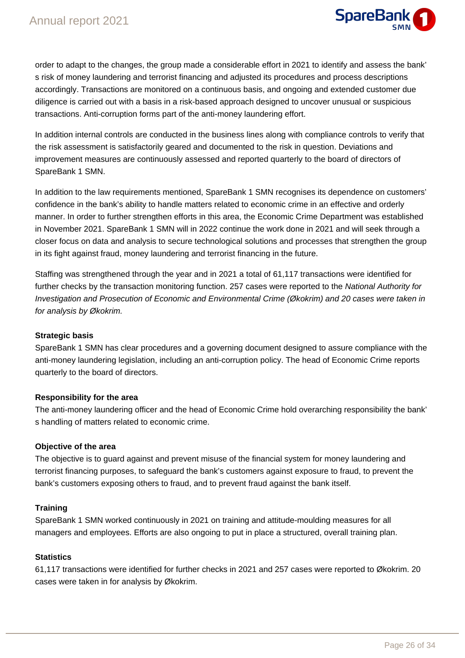

order to adapt to the changes, the group made a considerable effort in 2021 to identify and assess the bank' s risk of money laundering and terrorist financing and adjusted its procedures and process descriptions accordingly. Transactions are monitored on a continuous basis, and ongoing and extended customer due diligence is carried out with a basis in a risk-based approach designed to uncover unusual or suspicious transactions. Anti-corruption forms part of the anti-money laundering effort.

In addition internal controls are conducted in the business lines along with compliance controls to verify that the risk assessment is satisfactorily geared and documented to the risk in question. Deviations and improvement measures are continuously assessed and reported quarterly to the board of directors of SpareBank 1 SMN.

In addition to the law requirements mentioned, SpareBank 1 SMN recognises its dependence on customers' confidence in the bank's ability to handle matters related to economic crime in an effective and orderly manner. In order to further strengthen efforts in this area, the Economic Crime Department was established in November 2021. SpareBank 1 SMN will in 2022 continue the work done in 2021 and will seek through a closer focus on data and analysis to secure technological solutions and processes that strengthen the group in its fight against fraud, money laundering and terrorist financing in the future.

Staffing was strengthened through the year and in 2021 a total of 61,117 transactions were identified for further checks by the transaction monitoring function. 257 cases were reported to the National Authority for Investigation and Prosecution of Economic and Environmental Crime (Økokrim) and 20 cases were taken in for analysis by Økokrim.

### **Strategic basis**

SpareBank 1 SMN has clear procedures and a governing document designed to assure compliance with the anti-money laundering legislation, including an anti-corruption policy. The head of Economic Crime reports quarterly to the board of directors.

### **Responsibility for the area**

The anti-money laundering officer and the head of Economic Crime hold overarching responsibility the bank' s handling of matters related to economic crime.

### **Objective of the area**

The objective is to guard against and prevent misuse of the financial system for money laundering and terrorist financing purposes, to safeguard the bank's customers against exposure to fraud, to prevent the bank's customers exposing others to fraud, and to prevent fraud against the bank itself.

### **Training**

SpareBank 1 SMN worked continuously in 2021 on training and attitude-moulding measures for all managers and employees. Efforts are also ongoing to put in place a structured, overall training plan.

### **Statistics**

61,117 transactions were identified for further checks in 2021 and 257 cases were reported to Økokrim. 20 cases were taken in for analysis by Økokrim.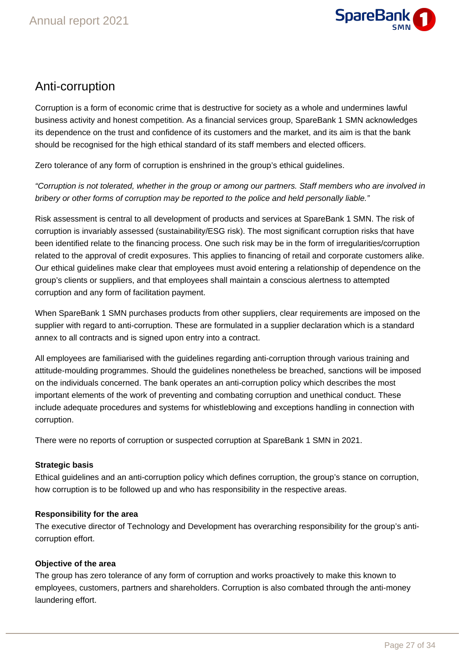

# Anti-corruption

Corruption is a form of economic crime that is destructive for society as a whole and undermines lawful business activity and honest competition. As a financial services group, SpareBank 1 SMN acknowledges its dependence on the trust and confidence of its customers and the market, and its aim is that the bank should be recognised for the high ethical standard of its staff members and elected officers.

Zero tolerance of any form of corruption is enshrined in the group's ethical guidelines.

"Corruption is not tolerated, whether in the group or among our partners. Staff members who are involved in bribery or other forms of corruption may be reported to the police and held personally liable."

Risk assessment is central to all development of products and services at SpareBank 1 SMN. The risk of corruption is invariably assessed (sustainability/ESG risk). The most significant corruption risks that have been identified relate to the financing process. One such risk may be in the form of irregularities/corruption related to the approval of credit exposures. This applies to financing of retail and corporate customers alike. Our ethical guidelines make clear that employees must avoid entering a relationship of dependence on the group's clients or suppliers, and that employees shall maintain a conscious alertness to attempted corruption and any form of facilitation payment.

When SpareBank 1 SMN purchases products from other suppliers, clear requirements are imposed on the supplier with regard to anti-corruption. These are formulated in a supplier declaration which is a standard annex to all contracts and is signed upon entry into a contract.

All employees are familiarised with the guidelines regarding anti-corruption through various training and attitude-moulding programmes. Should the guidelines nonetheless be breached, sanctions will be imposed on the individuals concerned. The bank operates an anti-corruption policy which describes the most important elements of the work of preventing and combating corruption and unethical conduct. These include adequate procedures and systems for whistleblowing and exceptions handling in connection with corruption.

There were no reports of corruption or suspected corruption at SpareBank 1 SMN in 2021.

### **Strategic basis**

Ethical guidelines and an anti-corruption policy which defines corruption, the group's stance on corruption, how corruption is to be followed up and who has responsibility in the respective areas.

### **Responsibility for the area**

The executive director of Technology and Development has overarching responsibility for the group's anticorruption effort.

### **Objective of the area**

The group has zero tolerance of any form of corruption and works proactively to make this known to employees, customers, partners and shareholders. Corruption is also combated through the anti-money laundering effort.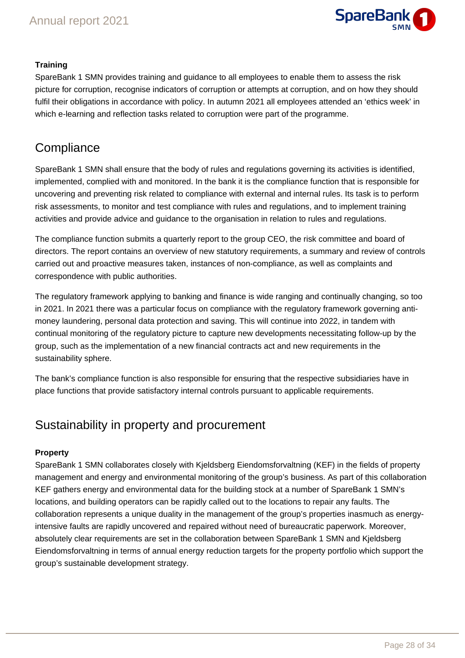

### **Training**

SpareBank 1 SMN provides training and guidance to all employees to enable them to assess the risk picture for corruption, recognise indicators of corruption or attempts at corruption, and on how they should fulfil their obligations in accordance with policy. In autumn 2021 all employees attended an 'ethics week' in which e-learning and reflection tasks related to corruption were part of the programme.

## **Compliance**

SpareBank 1 SMN shall ensure that the body of rules and regulations governing its activities is identified, implemented, complied with and monitored. In the bank it is the compliance function that is responsible for uncovering and preventing risk related to compliance with external and internal rules. Its task is to perform risk assessments, to monitor and test compliance with rules and regulations, and to implement training activities and provide advice and guidance to the organisation in relation to rules and regulations.

The compliance function submits a quarterly report to the group CEO, the risk committee and board of directors. The report contains an overview of new statutory requirements, a summary and review of controls carried out and proactive measures taken, instances of non-compliance, as well as complaints and correspondence with public authorities.

The regulatory framework applying to banking and finance is wide ranging and continually changing, so too in 2021. In 2021 there was a particular focus on compliance with the regulatory framework governing antimoney laundering, personal data protection and saving. This will continue into 2022, in tandem with continual monitoring of the regulatory picture to capture new developments necessitating follow-up by the group, such as the implementation of a new financial contracts act and new requirements in the sustainability sphere.

The bank's compliance function is also responsible for ensuring that the respective subsidiaries have in place functions that provide satisfactory internal controls pursuant to applicable requirements.

### Sustainability in property and procurement

### **Property**

SpareBank 1 SMN collaborates closely with Kjeldsberg Eiendomsforvaltning (KEF) in the fields of property management and energy and environmental monitoring of the group's business. As part of this collaboration KEF gathers energy and environmental data for the building stock at a number of SpareBank 1 SMN's locations, and building operators can be rapidly called out to the locations to repair any faults. The collaboration represents a unique duality in the management of the group's properties inasmuch as energyintensive faults are rapidly uncovered and repaired without need of bureaucratic paperwork. Moreover, absolutely clear requirements are set in the collaboration between SpareBank 1 SMN and Kjeldsberg Eiendomsforvaltning in terms of annual energy reduction targets for the property portfolio which support the group's sustainable development strategy.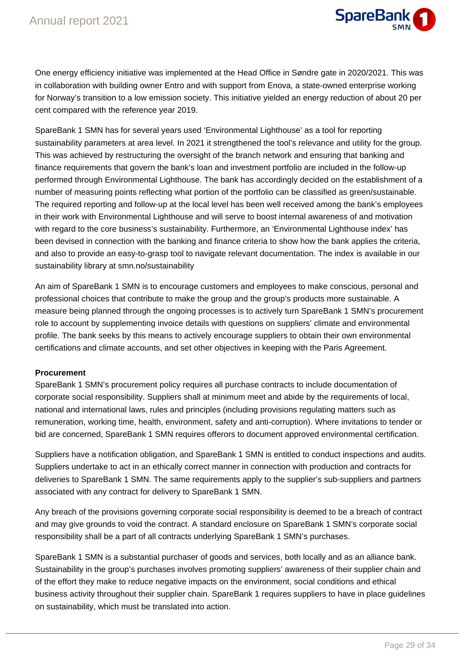

One energy efficiency initiative was implemented at the Head Office in Søndre gate in 2020/2021. This was in collaboration with building owner Entro and with support from Enova, a state-owned enterprise working for Norway's transition to a low emission society. This initiative yielded an energy reduction of about 20 per cent compared with the reference year 2019.

SpareBank 1 SMN has for several years used 'Environmental Lighthouse' as a tool for reporting sustainability parameters at area level. In 2021 it strengthened the tool's relevance and utility for the group. This was achieved by restructuring the oversight of the branch network and ensuring that banking and finance requirements that govern the bank's loan and investment portfolio are included in the follow-up performed through Environmental Lighthouse. The bank has accordingly decided on the establishment of a number of measuring points reflecting what portion of the portfolio can be classified as green/sustainable. The required reporting and follow-up at the local level has been well received among the bank's employees in their work with Environmental Lighthouse and will serve to boost internal awareness of and motivation with regard to the core business's sustainability. Furthermore, an 'Environmental Lighthouse index' has been devised in connection with the banking and finance criteria to show how the bank applies the criteria, and also to provide an easy-to-grasp tool to navigate relevant documentation. The index is available in our sustainability library at smn.no/sustainability

An aim of SpareBank 1 SMN is to encourage customers and employees to make conscious, personal and professional choices that contribute to make the group and the group's products more sustainable. A measure being planned through the ongoing processes is to actively turn SpareBank 1 SMN's procurement role to account by supplementing invoice details with questions on suppliers' climate and environmental profile. The bank seeks by this means to actively encourage suppliers to obtain their own environmental certifications and climate accounts, and set other objectives in keeping with the Paris Agreement.

### **Procurement**

SpareBank 1 SMN's procurement policy requires all purchase contracts to include documentation of corporate social responsibility. Suppliers shall at minimum meet and abide by the requirements of local, national and international laws, rules and principles (including provisions regulating matters such as remuneration, working time, health, environment, safety and anti-corruption). Where invitations to tender or bid are concerned, SpareBank 1 SMN requires offerors to document approved environmental certification.

Suppliers have a notification obligation, and SpareBank 1 SMN is entitled to conduct inspections and audits. Suppliers undertake to act in an ethically correct manner in connection with production and contracts for deliveries to SpareBank 1 SMN. The same requirements apply to the supplier's sub-suppliers and partners associated with any contract for delivery to SpareBank 1 SMN.

Any breach of the provisions governing corporate social responsibility is deemed to be a breach of contract and may give grounds to void the contract. A standard enclosure on SpareBank 1 SMN's corporate social responsibility shall be a part of all contracts underlying SpareBank 1 SMN's purchases.

SpareBank 1 SMN is a substantial purchaser of goods and services, both locally and as an alliance bank. Sustainability in the group's purchases involves promoting suppliers' awareness of their supplier chain and of the effort they make to reduce negative impacts on the environment, social conditions and ethical business activity throughout their supplier chain. SpareBank 1 requires suppliers to have in place guidelines on sustainability, which must be translated into action.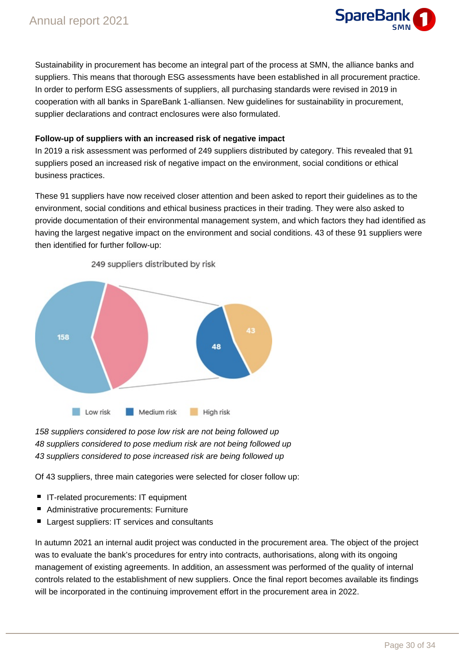

Sustainability in procurement has become an integral part of the process at SMN, the alliance banks and suppliers. This means that thorough ESG assessments have been established in all procurement practice. In order to perform ESG assessments of suppliers, all purchasing standards were revised in 2019 in cooperation with all banks in SpareBank 1-alliansen. New guidelines for sustainability in procurement, supplier declarations and contract enclosures were also formulated.

### **Follow-up of suppliers with an increased risk of negative impact**

In 2019 a risk assessment was performed of 249 suppliers distributed by category. This revealed that 91 suppliers posed an increased risk of negative impact on the environment, social conditions or ethical business practices.

These 91 suppliers have now received closer attention and been asked to report their guidelines as to the environment, social conditions and ethical business practices in their trading. They were also asked to provide documentation of their environmental management system, and which factors they had identified as having the largest negative impact on the environment and social conditions. 43 of these 91 suppliers were then identified for further follow-up:



249 suppliers distributed by risk

158 suppliers considered to pose low risk are not being followed up 48 suppliers considered to pose medium risk are not being followed up 43 suppliers considered to pose increased risk are being followed up

Of 43 suppliers, three main categories were selected for closer follow up:

- IT-related procurements: IT equipment
- Administrative procurements: Furniture
- Largest suppliers: IT services and consultants

In autumn 2021 an internal audit project was conducted in the procurement area. The object of the project was to evaluate the bank's procedures for entry into contracts, authorisations, along with its ongoing management of existing agreements. In addition, an assessment was performed of the quality of internal controls related to the establishment of new suppliers. Once the final report becomes available its findings will be incorporated in the continuing improvement effort in the procurement area in 2022.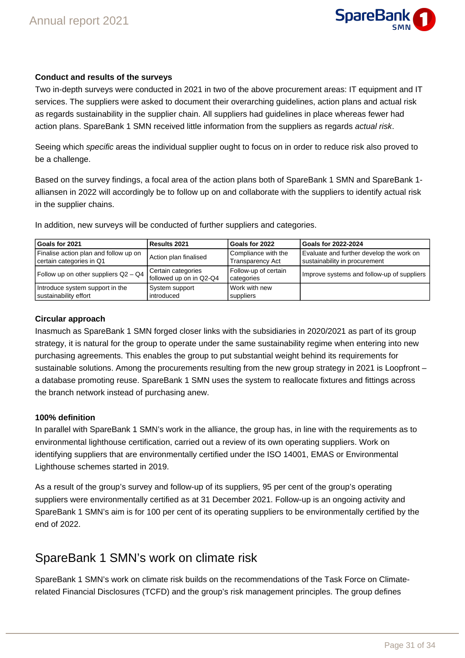### **Conduct and results of the surveys**

Two in-depth surveys were conducted in 2021 in two of the above procurement areas: IT equipment and IT services. The suppliers were asked to document their overarching guidelines, action plans and actual risk as regards sustainability in the supplier chain. All suppliers had guidelines in place whereas fewer had action plans. SpareBank 1 SMN received little information from the suppliers as regards actual risk.

Seeing which specific areas the individual supplier ought to focus on in order to reduce risk also proved to be a challenge.

Based on the survey findings, a focal area of the action plans both of SpareBank 1 SMN and SpareBank 1 alliansen in 2022 will accordingly be to follow up on and collaborate with the suppliers to identify actual risk in the supplier chains.

| Goals for 2021                        | Results 2021                                  | Goals for 2022                     | Goals for 2022-2024                        |
|---------------------------------------|-----------------------------------------------|------------------------------------|--------------------------------------------|
| Finalise action plan and follow up on | Action plan finalised                         | Compliance with the                | Evaluate and further develop the work on   |
| certain categories in Q1              |                                               | <b>Transparency Act</b>            | sustainability in procurement              |
| Follow up on other suppliers Q2 - Q4  | Certain categories<br>followed up on in Q2-Q4 | Follow-up of certain<br>categories | Improve systems and follow-up of suppliers |
| Introduce system support in the       | System support                                | Work with new                      |                                            |
| sustainability effort                 | introduced                                    | suppliers                          |                                            |

In addition, new surveys will be conducted of further suppliers and categories.

### **Circular approach**

Inasmuch as SpareBank 1 SMN forged closer links with the subsidiaries in 2020/2021 as part of its group strategy, it is natural for the group to operate under the same sustainability regime when entering into new purchasing agreements. This enables the group to put substantial weight behind its requirements for sustainable solutions. Among the procurements resulting from the new group strategy in 2021 is Loopfront – a database promoting reuse. SpareBank 1 SMN uses the system to reallocate fixtures and fittings across the branch network instead of purchasing anew.

### **100% definition**

In parallel with SpareBank 1 SMN's work in the alliance, the group has, in line with the requirements as to environmental lighthouse certification, carried out a review of its own operating suppliers. Work on identifying suppliers that are environmentally certified under the ISO 14001, EMAS or Environmental Lighthouse schemes started in 2019.

As a result of the group's survey and follow-up of its suppliers, 95 per cent of the group's operating suppliers were environmentally certified as at 31 December 2021. Follow-up is an ongoing activity and SpareBank 1 SMN's aim is for 100 per cent of its operating suppliers to be environmentally certified by the end of 2022.

### SpareBank 1 SMN's work on climate risk

SpareBank 1 SMN's work on climate risk builds on the recommendations of the Task Force on Climaterelated Financial Disclosures (TCFD) and the group's risk management principles. The group defines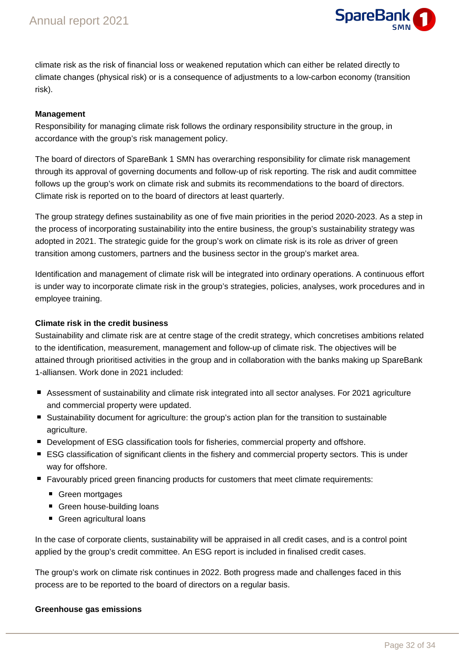

climate risk as the risk of financial loss or weakened reputation which can either be related directly to climate changes (physical risk) or is a consequence of adjustments to a low-carbon economy (transition risk).

### **Management**

Responsibility for managing climate risk follows the ordinary responsibility structure in the group, in accordance with the group's risk management policy.

The board of directors of SpareBank 1 SMN has overarching responsibility for climate risk management through its approval of governing documents and follow-up of risk reporting. The risk and audit committee follows up the group's work on climate risk and submits its recommendations to the board of directors. Climate risk is reported on to the board of directors at least quarterly.

The group strategy defines sustainability as one of five main priorities in the period 2020-2023. As a step in the process of incorporating sustainability into the entire business, the group's sustainability strategy was adopted in 2021. The strategic guide for the group's work on climate risk is its role as driver of green transition among customers, partners and the business sector in the group's market area.

Identification and management of climate risk will be integrated into ordinary operations. A continuous effort is under way to incorporate climate risk in the group's strategies, policies, analyses, work procedures and in employee training.

### **Climate risk in the credit business**

Sustainability and climate risk are at centre stage of the credit strategy, which concretises ambitions related to the identification, measurement, management and follow-up of climate risk. The objectives will be attained through prioritised activities in the group and in collaboration with the banks making up SpareBank 1-alliansen. Work done in 2021 included:

- Assessment of sustainability and climate risk integrated into all sector analyses. For 2021 agriculture and commercial property were updated.
- Sustainability document for agriculture: the group's action plan for the transition to sustainable agriculture.
- **Development of ESG classification tools for fisheries, commercial property and offshore.**
- ESG classification of significant clients in the fishery and commercial property sectors. This is under way for offshore.
- **F** Favourably priced green financing products for customers that meet climate requirements:
	- Green mortgages
	- Green house-building loans
	- Green agricultural loans

In the case of corporate clients, sustainability will be appraised in all credit cases, and is a control point applied by the group's credit committee. An ESG report is included in finalised credit cases.

The group's work on climate risk continues in 2022. Both progress made and challenges faced in this process are to be reported to the board of directors on a regular basis.

### **Greenhouse gas emissions**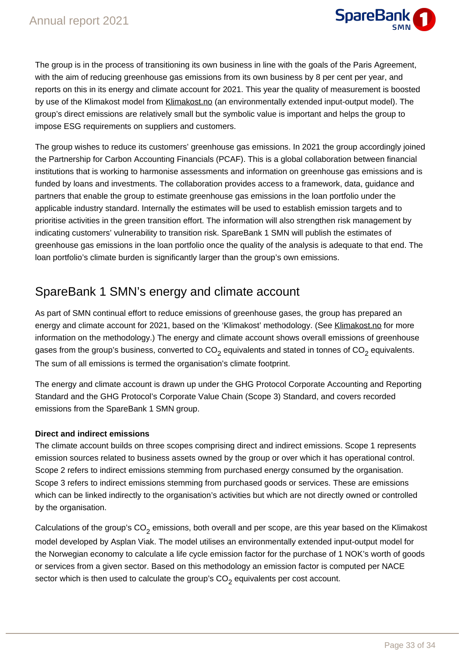

The group is in the process of transitioning its own business in line with the goals of the Paris Agreement, with the aim of reducing greenhouse gas emissions from its own business by 8 per cent per year, and reports on this in its energy and climate account for 2021. This year the quality of measurement is boosted by use of the Klimakost model from Klimakost.no (an environmentally extended input-output model). The group's direct emissions are relatively small but the symbolic value is important and helps the group to impose ESG requirements on suppliers and customers.

The group wishes to reduce its customers' greenhouse gas emissions. In 2021 the group accordingly joined the Partnership for Carbon Accounting Financials (PCAF). This is a global collaboration between financial institutions that is working to harmonise assessments and information on greenhouse gas emissions and is funded by loans and investments. The collaboration provides access to a framework, data, guidance and partners that enable the group to estimate greenhouse gas emissions in the loan portfolio under the applicable industry standard. Internally the estimates will be used to establish emission targets and to prioritise activities in the green transition effort. The information will also strengthen risk management by indicating customers' vulnerability to transition risk. SpareBank 1 SMN will publish the estimates of greenhouse gas emissions in the loan portfolio once the quality of the analysis is adequate to that end. The loan portfolio's climate burden is significantly larger than the group's own emissions.

# SpareBank 1 SMN's energy and climate account

As part of SMN continual effort to reduce emissions of greenhouse gases, the group has prepared an energy and climate account for 2021, based on the 'Klimakost' methodology. (See Klimakost.no for more information on the methodology.) The energy and climate account shows overall emissions of greenhouse gases from the group's business, converted to  $CO<sub>2</sub>$  equivalents and stated in tonnes of  $CO<sub>2</sub>$  equivalents. The sum of all emissions is termed the organisation's climate footprint.

The energy and climate account is drawn up under the GHG Protocol Corporate Accounting and Reporting Standard and the GHG Protocol's Corporate Value Chain (Scope 3) Standard, and covers recorded emissions from the SpareBank 1 SMN group.

### **Direct and indirect emissions**

The climate account builds on three scopes comprising direct and indirect emissions. Scope 1 represents emission sources related to business assets owned by the group or over which it has operational control. Scope 2 refers to indirect emissions stemming from purchased energy consumed by the organisation. Scope 3 refers to indirect emissions stemming from purchased goods or services. These are emissions which can be linked indirectly to the organisation's activities but which are not directly owned or controlled by the organisation.

Calculations of the group's  $CO<sub>2</sub>$  emissions, both overall and per scope, are this year based on the Klimakost model developed by Asplan Viak. The model utilises an environmentally extended input-output model for the Norwegian economy to calculate a life cycle emission factor for the purchase of 1 NOK's worth of goods or services from a given sector. Based on this methodology an emission factor is computed per NACE sector which is then used to calculate the group's  $CO<sub>2</sub>$  equivalents per cost account.